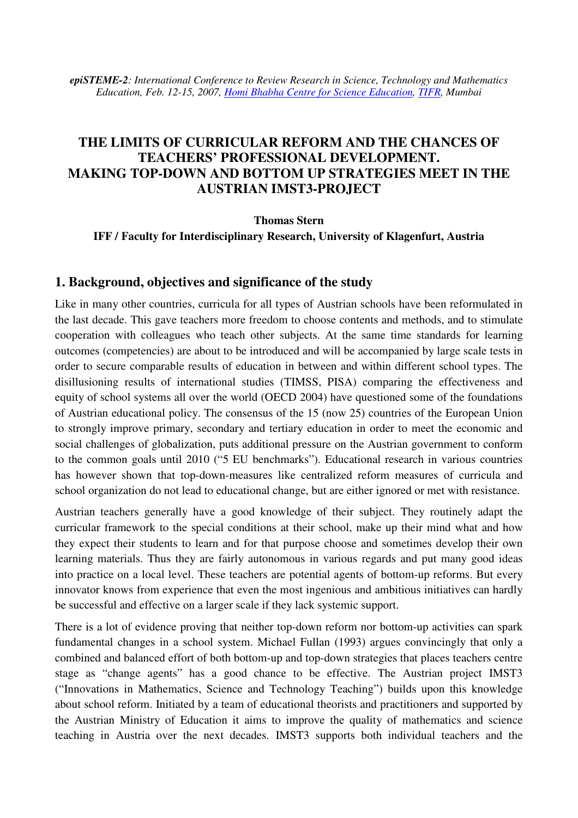*epiSTEME-2: International Conference to Review Research in Science, Technology and Mathematics Education, Feb. 12-15, 2007, Homi Bhabha Centre for Science Education, TIFR, Mumbai* 

# **THE LIMITS OF CURRICULAR REFORM AND THE CHANCES OF TEACHERS' PROFESSIONAL DEVELOPMENT. MAKING TOP-DOWN AND BOTTOM UP STRATEGIES MEET IN THE AUSTRIAN IMST3-PROJECT**

**Thomas Stern** 

**IFF / Faculty for Interdisciplinary Research, University of Klagenfurt, Austria** 

#### **1. Background, objectives and significance of the study**

Like in many other countries, curricula for all types of Austrian schools have been reformulated in the last decade. This gave teachers more freedom to choose contents and methods, and to stimulate cooperation with colleagues who teach other subjects. At the same time standards for learning outcomes (competencies) are about to be introduced and will be accompanied by large scale tests in order to secure comparable results of education in between and within different school types. The disillusioning results of international studies (TIMSS, PISA) comparing the effectiveness and equity of school systems all over the world (OECD 2004) have questioned some of the foundations of Austrian educational policy. The consensus of the 15 (now 25) countries of the European Union to strongly improve primary, secondary and tertiary education in order to meet the economic and social challenges of globalization, puts additional pressure on the Austrian government to conform to the common goals until 2010 ("5 EU benchmarks"). Educational research in various countries has however shown that top-down-measures like centralized reform measures of curricula and school organization do not lead to educational change, but are either ignored or met with resistance.

Austrian teachers generally have a good knowledge of their subject. They routinely adapt the curricular framework to the special conditions at their school, make up their mind what and how they expect their students to learn and for that purpose choose and sometimes develop their own learning materials. Thus they are fairly autonomous in various regards and put many good ideas into practice on a local level. These teachers are potential agents of bottom-up reforms. But every innovator knows from experience that even the most ingenious and ambitious initiatives can hardly be successful and effective on a larger scale if they lack systemic support.

There is a lot of evidence proving that neither top-down reform nor bottom-up activities can spark fundamental changes in a school system. Michael Fullan (1993) argues convincingly that only a combined and balanced effort of both bottom-up and top-down strategies that places teachers centre stage as "change agents" has a good chance to be effective. The Austrian project IMST3 ("Innovations in Mathematics, Science and Technology Teaching") builds upon this knowledge about school reform. Initiated by a team of educational theorists and practitioners and supported by the Austrian Ministry of Education it aims to improve the quality of mathematics and science teaching in Austria over the next decades. IMST3 supports both individual teachers and the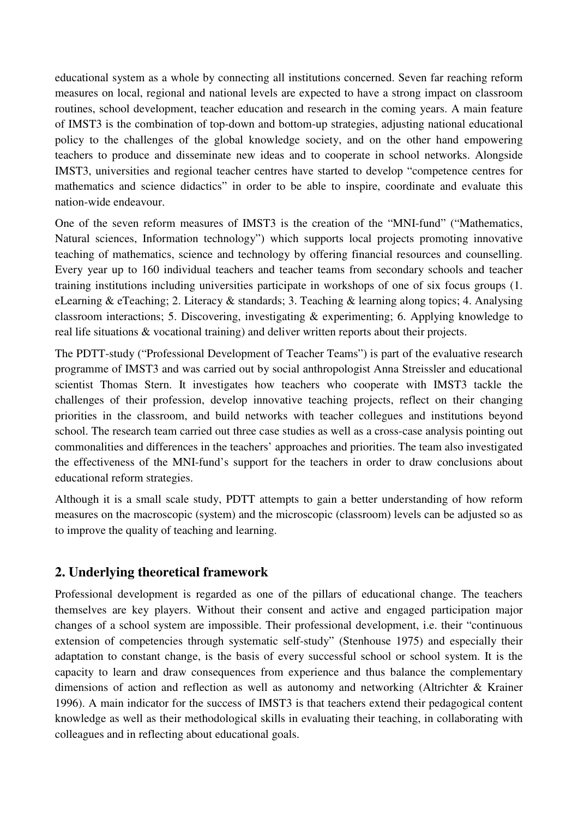educational system as a whole by connecting all institutions concerned. Seven far reaching reform measures on local, regional and national levels are expected to have a strong impact on classroom routines, school development, teacher education and research in the coming years. A main feature of IMST3 is the combination of top-down and bottom-up strategies, adjusting national educational policy to the challenges of the global knowledge society, and on the other hand empowering teachers to produce and disseminate new ideas and to cooperate in school networks. Alongside IMST3, universities and regional teacher centres have started to develop "competence centres for mathematics and science didactics" in order to be able to inspire, coordinate and evaluate this nation-wide endeavour.

One of the seven reform measures of IMST3 is the creation of the "MNI-fund" ("Mathematics, Natural sciences, Information technology") which supports local projects promoting innovative teaching of mathematics, science and technology by offering financial resources and counselling. Every year up to 160 individual teachers and teacher teams from secondary schools and teacher training institutions including universities participate in workshops of one of six focus groups (1. eLearning & eTeaching; 2. Literacy & standards; 3. Teaching & learning along topics; 4. Analysing classroom interactions; 5. Discovering, investigating & experimenting; 6. Applying knowledge to real life situations & vocational training) and deliver written reports about their projects.

The PDTT-study ("Professional Development of Teacher Teams") is part of the evaluative research programme of IMST3 and was carried out by social anthropologist Anna Streissler and educational scientist Thomas Stern. It investigates how teachers who cooperate with IMST3 tackle the challenges of their profession, develop innovative teaching projects, reflect on their changing priorities in the classroom, and build networks with teacher collegues and institutions beyond school. The research team carried out three case studies as well as a cross-case analysis pointing out commonalities and differences in the teachers' approaches and priorities. The team also investigated the effectiveness of the MNI-fund's support for the teachers in order to draw conclusions about educational reform strategies.

Although it is a small scale study, PDTT attempts to gain a better understanding of how reform measures on the macroscopic (system) and the microscopic (classroom) levels can be adjusted so as to improve the quality of teaching and learning.

## **2. Underlying theoretical framework**

Professional development is regarded as one of the pillars of educational change. The teachers themselves are key players. Without their consent and active and engaged participation major changes of a school system are impossible. Their professional development, i.e. their "continuous extension of competencies through systematic self-study" (Stenhouse 1975) and especially their adaptation to constant change, is the basis of every successful school or school system. It is the capacity to learn and draw consequences from experience and thus balance the complementary dimensions of action and reflection as well as autonomy and networking (Altrichter & Krainer 1996). A main indicator for the success of IMST3 is that teachers extend their pedagogical content knowledge as well as their methodological skills in evaluating their teaching, in collaborating with colleagues and in reflecting about educational goals.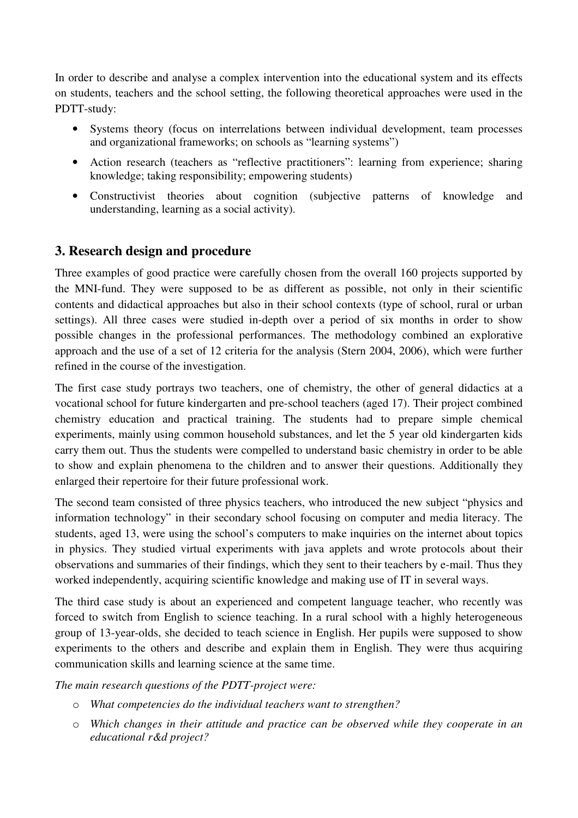In order to describe and analyse a complex intervention into the educational system and its effects on students, teachers and the school setting, the following theoretical approaches were used in the PDTT-study:

- Systems theory (focus on interrelations between individual development, team processes and organizational frameworks; on schools as "learning systems")
- Action research (teachers as "reflective practitioners": learning from experience; sharing knowledge; taking responsibility; empowering students)
- Constructivist theories about cognition (subjective patterns of knowledge and understanding, learning as a social activity).

## **3. Research design and procedure**

Three examples of good practice were carefully chosen from the overall 160 projects supported by the MNI-fund. They were supposed to be as different as possible, not only in their scientific contents and didactical approaches but also in their school contexts (type of school, rural or urban settings). All three cases were studied in-depth over a period of six months in order to show possible changes in the professional performances. The methodology combined an explorative approach and the use of a set of 12 criteria for the analysis (Stern 2004, 2006), which were further refined in the course of the investigation.

The first case study portrays two teachers, one of chemistry, the other of general didactics at a vocational school for future kindergarten and pre-school teachers (aged 17). Their project combined chemistry education and practical training. The students had to prepare simple chemical experiments, mainly using common household substances, and let the 5 year old kindergarten kids carry them out. Thus the students were compelled to understand basic chemistry in order to be able to show and explain phenomena to the children and to answer their questions. Additionally they enlarged their repertoire for their future professional work.

The second team consisted of three physics teachers, who introduced the new subject "physics and information technology" in their secondary school focusing on computer and media literacy. The students, aged 13, were using the school's computers to make inquiries on the internet about topics in physics. They studied virtual experiments with java applets and wrote protocols about their observations and summaries of their findings, which they sent to their teachers by e-mail. Thus they worked independently, acquiring scientific knowledge and making use of IT in several ways.

The third case study is about an experienced and competent language teacher, who recently was forced to switch from English to science teaching. In a rural school with a highly heterogeneous group of 13-year-olds, she decided to teach science in English. Her pupils were supposed to show experiments to the others and describe and explain them in English. They were thus acquiring communication skills and learning science at the same time.

*The main research questions of the PDTT-project were:* 

- o *What competencies do the individual teachers want to strengthen?*
- o *Which changes in their attitude and practice can be observed while they cooperate in an educational r&d project?*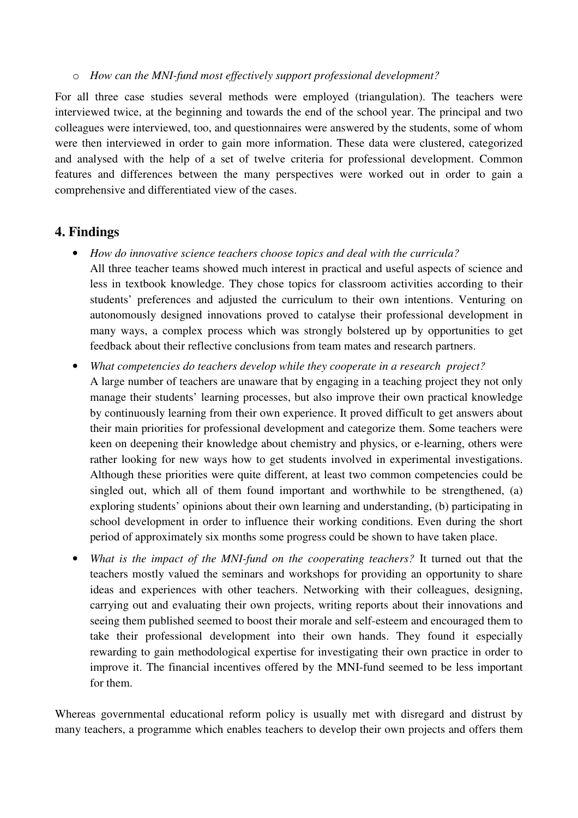o *How can the MNI-fund most effectively support professional development?* 

For all three case studies several methods were employed (triangulation). The teachers were interviewed twice, at the beginning and towards the end of the school year. The principal and two colleagues were interviewed, too, and questionnaires were answered by the students, some of whom were then interviewed in order to gain more information. These data were clustered, categorized and analysed with the help of a set of twelve criteria for professional development. Common features and differences between the many perspectives were worked out in order to gain a comprehensive and differentiated view of the cases.

## **4. Findings**

- *How do innovative science teachers choose topics and deal with the curricula?*  All three teacher teams showed much interest in practical and useful aspects of science and less in textbook knowledge. They chose topics for classroom activities according to their students' preferences and adjusted the curriculum to their own intentions. Venturing on autonomously designed innovations proved to catalyse their professional development in many ways, a complex process which was strongly bolstered up by opportunities to get feedback about their reflective conclusions from team mates and research partners.
- *What competencies do teachers develop while they cooperate in a research project?*  A large number of teachers are unaware that by engaging in a teaching project they not only manage their students' learning processes, but also improve their own practical knowledge by continuously learning from their own experience. It proved difficult to get answers about their main priorities for professional development and categorize them. Some teachers were keen on deepening their knowledge about chemistry and physics, or e-learning, others were rather looking for new ways how to get students involved in experimental investigations. Although these priorities were quite different, at least two common competencies could be singled out, which all of them found important and worthwhile to be strengthened, (a) exploring students' opinions about their own learning and understanding, (b) participating in school development in order to influence their working conditions. Even during the short period of approximately six months some progress could be shown to have taken place.
- *What is the impact of the MNI-fund on the cooperating teachers?* It turned out that the teachers mostly valued the seminars and workshops for providing an opportunity to share ideas and experiences with other teachers. Networking with their colleagues, designing, carrying out and evaluating their own projects, writing reports about their innovations and seeing them published seemed to boost their morale and self-esteem and encouraged them to take their professional development into their own hands. They found it especially rewarding to gain methodological expertise for investigating their own practice in order to improve it. The financial incentives offered by the MNI-fund seemed to be less important for them.

Whereas governmental educational reform policy is usually met with disregard and distrust by many teachers, a programme which enables teachers to develop their own projects and offers them